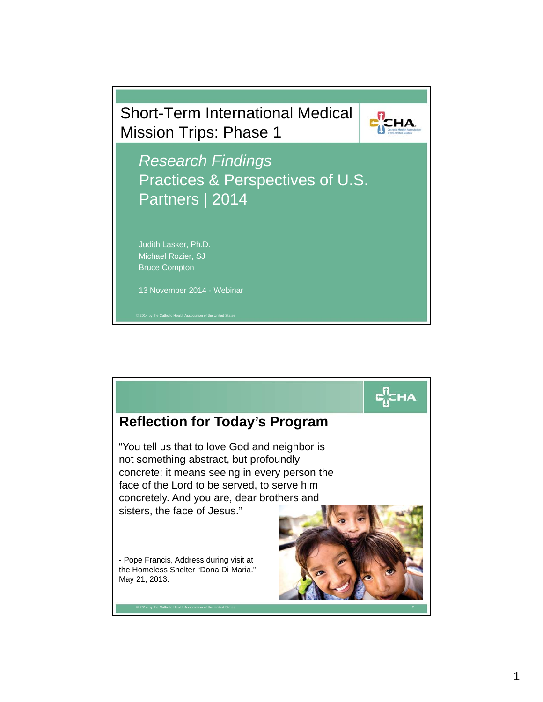

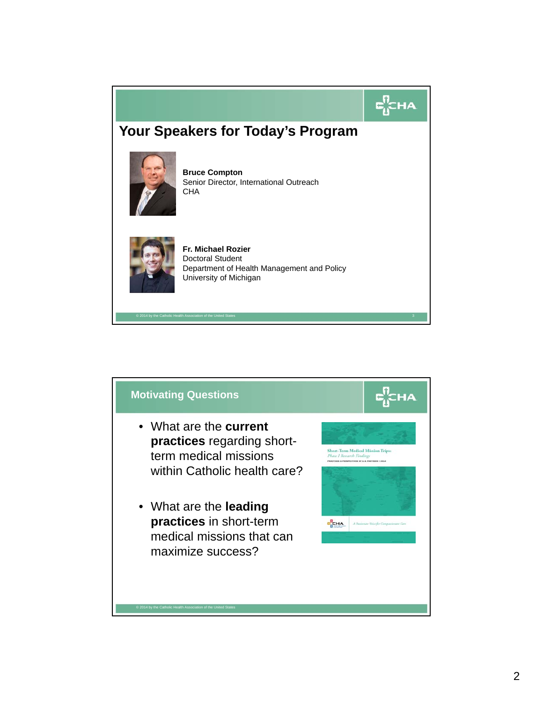

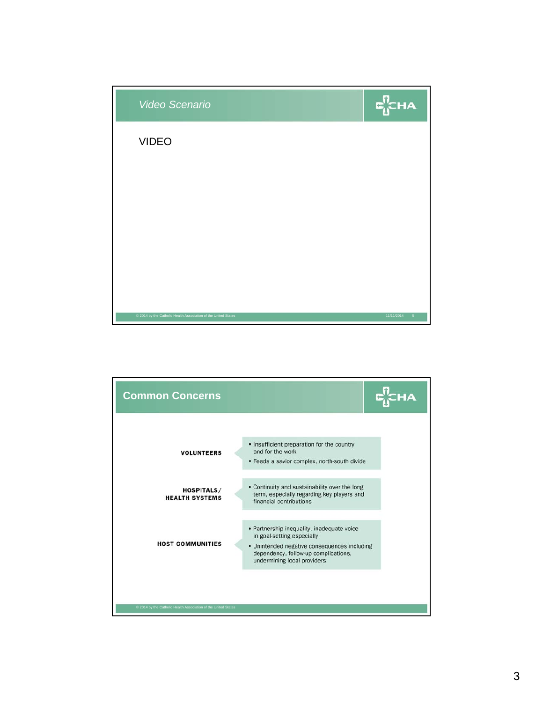

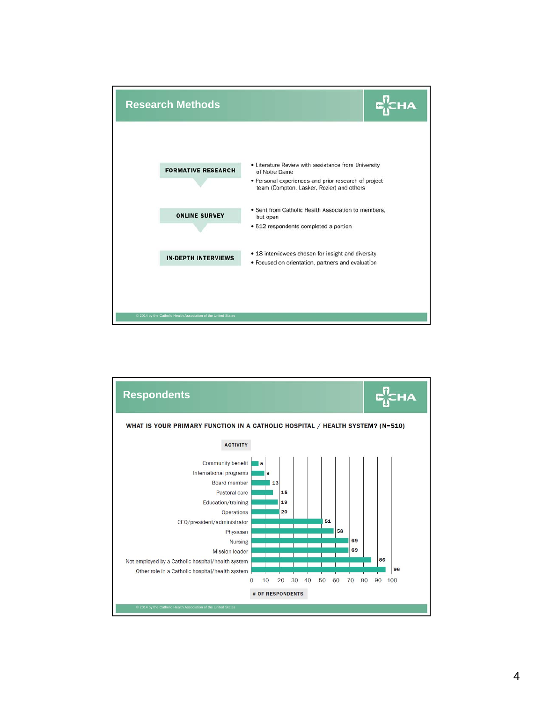

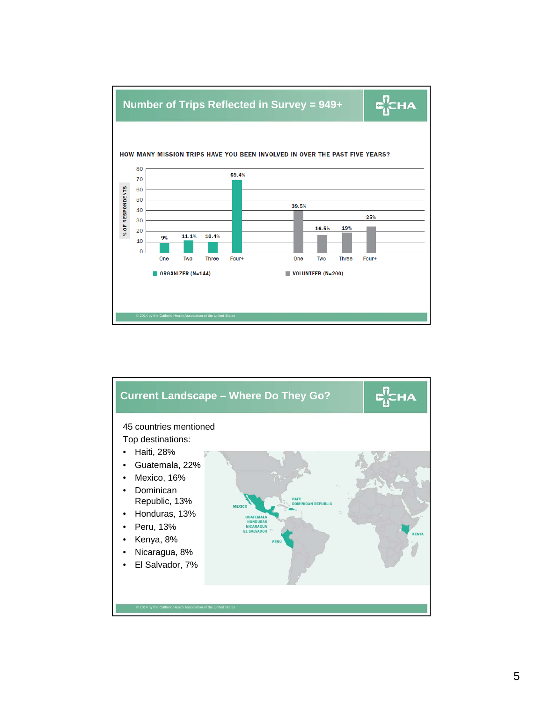

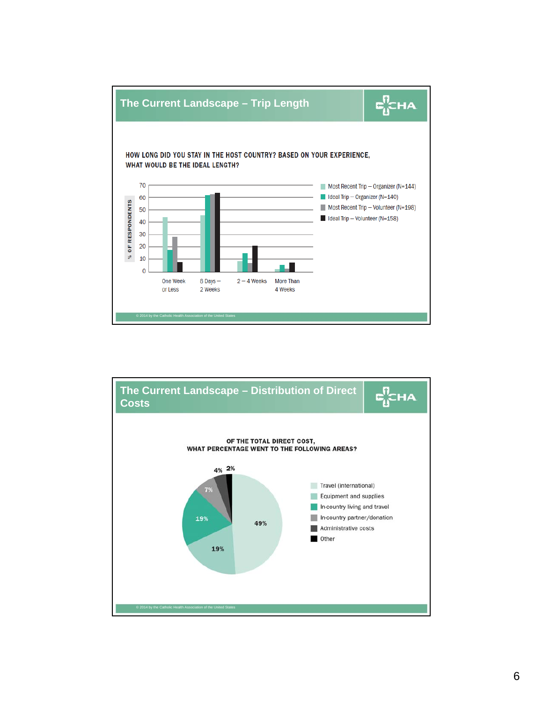

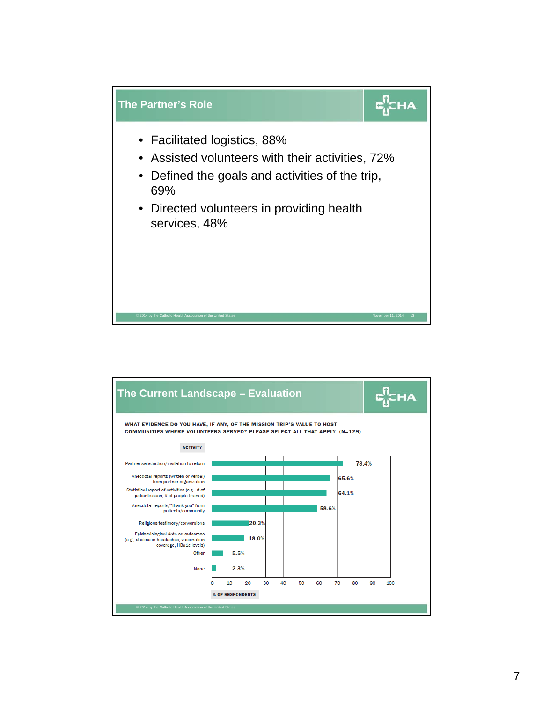

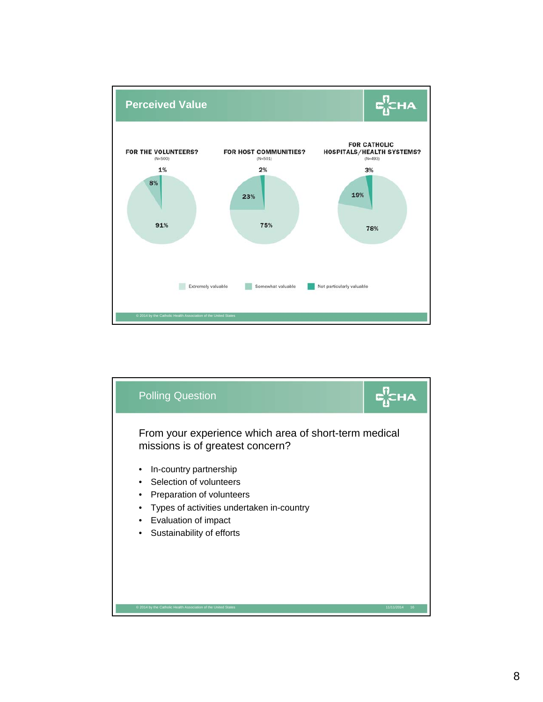

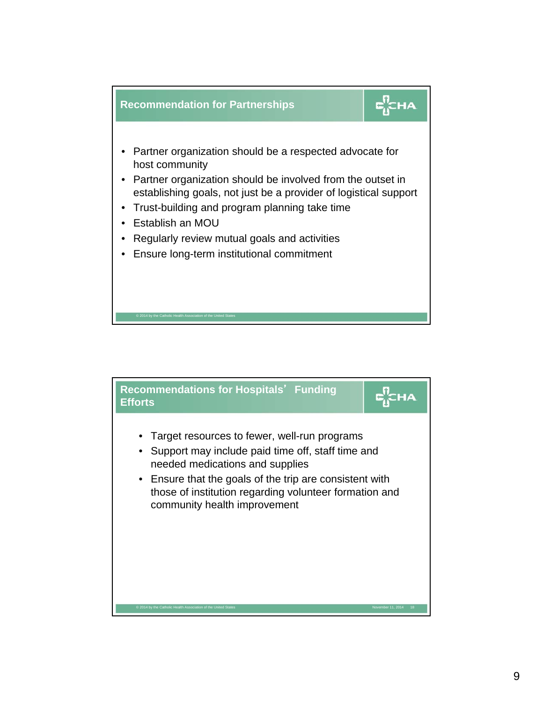

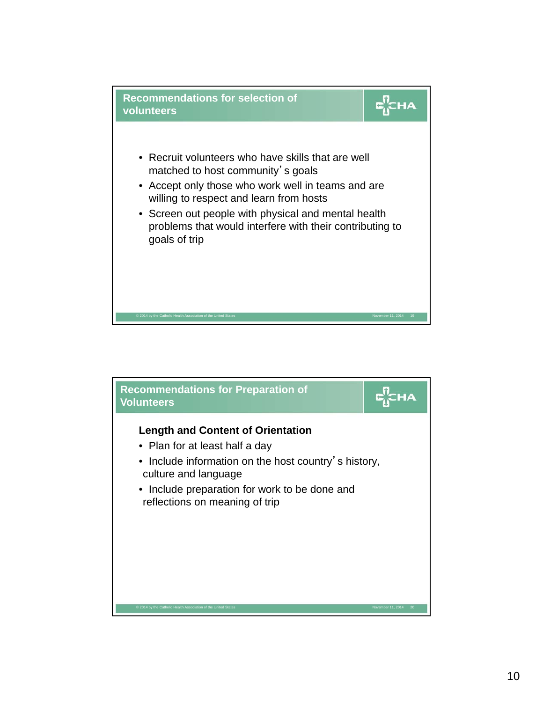

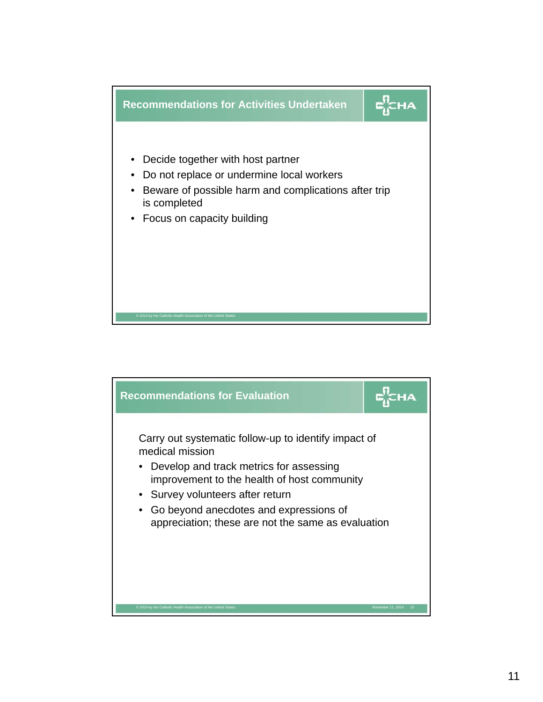